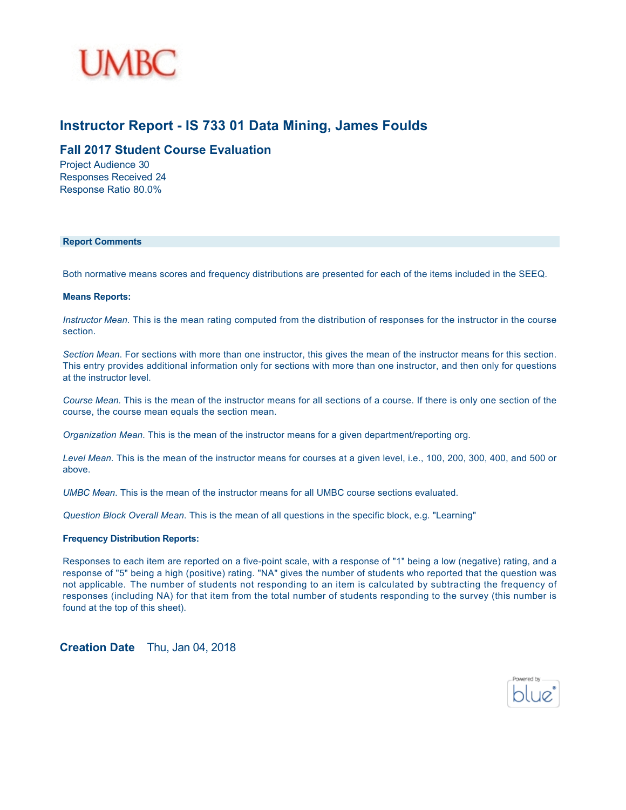

#### **Instructor Report - IS 733 01 Data Mining, James Foulds**

#### **Fall 2017 Student Course Evaluation**

Project Audience 30 Responses Received 24 Response Ratio 80.0%

#### **Report Comments**

Both normative means scores and frequency distributions are presented for each of the items included in the SEEQ.

#### **Means Reports:**

*Instructor Mean*. This is the mean rating computed from the distribution of responses for the instructor in the course section.

*Section Mean*. For sections with more than one instructor, this gives the mean of the instructor means for this section. This entry provides additional information only for sections with more than one instructor, and then only for questions at the instructor level.

*Course Mean.* This is the mean of the instructor means for all sections of a course. If there is only one section of the course, the course mean equals the section mean.

*Organization Mean*. This is the mean of the instructor means for a given department/reporting org.

*Level Mean*. This is the mean of the instructor means for courses at a given level, i.e., 100, 200, 300, 400, and 500 or above.

*UMBC Mean*. This is the mean of the instructor means for all UMBC course sections evaluated.

*Question Block Overall Mean*. This is the mean of all questions in the specific block, e.g. "Learning"

#### **Frequency Distribution Reports:**

Responses to each item are reported on a five-point scale, with a response of "1" being a low (negative) rating, and a response of "5" being a high (positive) rating. "NA" gives the number of students who reported that the question was not applicable. The number of students not responding to an item is calculated by subtracting the frequency of responses (including NA) for that item from the total number of students responding to the survey (this number is found at the top of this sheet).

**Creation Date** Thu, Jan 04, 2018

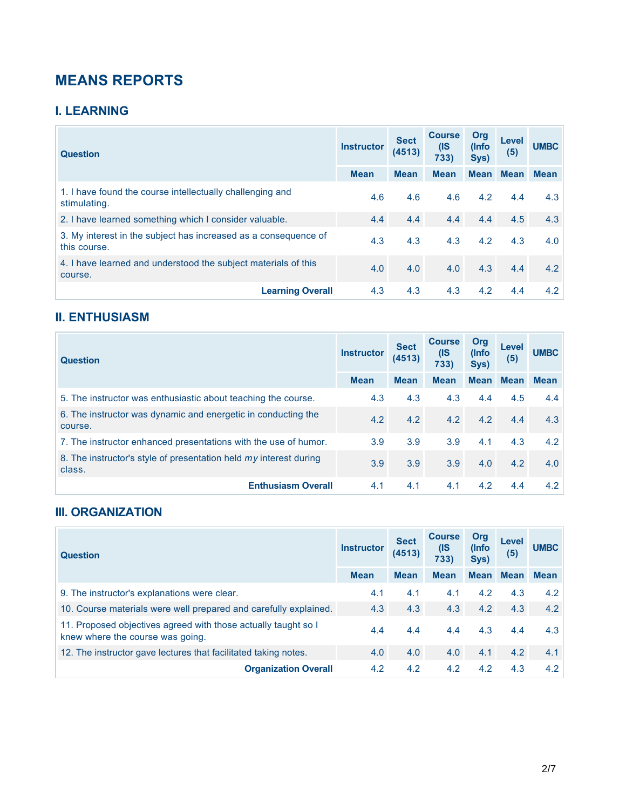# **MEANS REPORTS**

### **I. LEARNING**

| <b>Question</b>                                                                 | <b>Instructor</b> | <b>Sect</b><br>(4513) | <b>Course</b><br>(IS<br>733) | Org<br>(Info<br>Sys) | Level<br>(5) | <b>UMBC</b> |
|---------------------------------------------------------------------------------|-------------------|-----------------------|------------------------------|----------------------|--------------|-------------|
|                                                                                 | <b>Mean</b>       | <b>Mean</b>           | <b>Mean</b>                  | <b>Mean</b>          | <b>Mean</b>  | <b>Mean</b> |
| 1. I have found the course intellectually challenging and<br>stimulating.       | 4.6               | 4.6                   | 4.6                          | 4.2                  | 4.4          | 4.3         |
| 2. I have learned something which I consider valuable.                          | 4.4               | 4.4                   | 4.4                          | 4.4                  | 4.5          | 4.3         |
| 3. My interest in the subject has increased as a consequence of<br>this course. | 4.3               | 4.3                   | 4.3                          | 4.2                  | 4.3          | 4.0         |
| 4. I have learned and understood the subject materials of this<br>course.       | 4.0               | 4.0                   | 4.0                          | 4.3                  | 4.4          | 4.2         |
| <b>Learning Overall</b>                                                         | 4.3               | 4.3                   | 4.3                          | 4.2                  | 4.4          | 4.2         |

### **II. ENTHUSIASM**

| <b>Instructor</b><br><b>Question</b>                                        |             | <b>Sect</b><br>(4513) | <b>Course</b><br>(IS<br>733) | Org<br>(Info<br>Sys) | Level<br>(5) | <b>UMBC</b> |
|-----------------------------------------------------------------------------|-------------|-----------------------|------------------------------|----------------------|--------------|-------------|
|                                                                             | <b>Mean</b> | <b>Mean</b>           | <b>Mean</b>                  | <b>Mean</b>          | <b>Mean</b>  | <b>Mean</b> |
| 5. The instructor was enthusiastic about teaching the course.               | 4.3         | 4.3                   | 4.3                          | 4.4                  | 4.5          | 4.4         |
| 6. The instructor was dynamic and energetic in conducting the<br>course.    | 4.2         | 4.2                   | 4.2                          | 4.2                  | 4.4          | 4.3         |
| 7. The instructor enhanced presentations with the use of humor.             | 3.9         | 3.9                   | 3.9                          | 4.1                  | 4.3          | 4.2         |
| 8. The instructor's style of presentation held my interest during<br>class. | 3.9         | 3.9                   | 3.9                          | 4.0                  | 4.2          | 4.0         |
| <b>Enthusiasm Overall</b>                                                   | 4.1         | 4.1                   | 4.1                          | 4.2                  | 4.4          | 4.2         |

#### **III. ORGANIZATION**

| <b>Question</b>                                                                                    | <b>Instructor</b> | <b>Sect</b><br>(4513) | <b>Course</b><br>(IS<br>733) | Org<br>(Info<br>Sys) | Level<br>(5) | <b>UMBC</b> |
|----------------------------------------------------------------------------------------------------|-------------------|-----------------------|------------------------------|----------------------|--------------|-------------|
|                                                                                                    | <b>Mean</b>       | <b>Mean</b>           | <b>Mean</b>                  |                      | Mean Mean    | <b>Mean</b> |
| 9. The instructor's explanations were clear.                                                       | 4.1               | 4.1                   | 4.1                          | 4.2                  | 4.3          | 4.2         |
| 10. Course materials were well prepared and carefully explained.                                   | 4.3               | 4.3                   | 4.3                          | 4.2                  | 4.3          | 4.2         |
| 11. Proposed objectives agreed with those actually taught so I<br>knew where the course was going. | 4.4               | 4.4                   | 4.4                          | 4.3                  | 4.4          | 4.3         |
| 12. The instructor gave lectures that facilitated taking notes.                                    | 4.0               | 4.0                   | 4.0                          | 4.1                  | 4.2          | 4.1         |
| <b>Organization Overall</b>                                                                        | 4.2               | 4.2                   | 4.2                          | 4.2                  | 4.3          | 4.2         |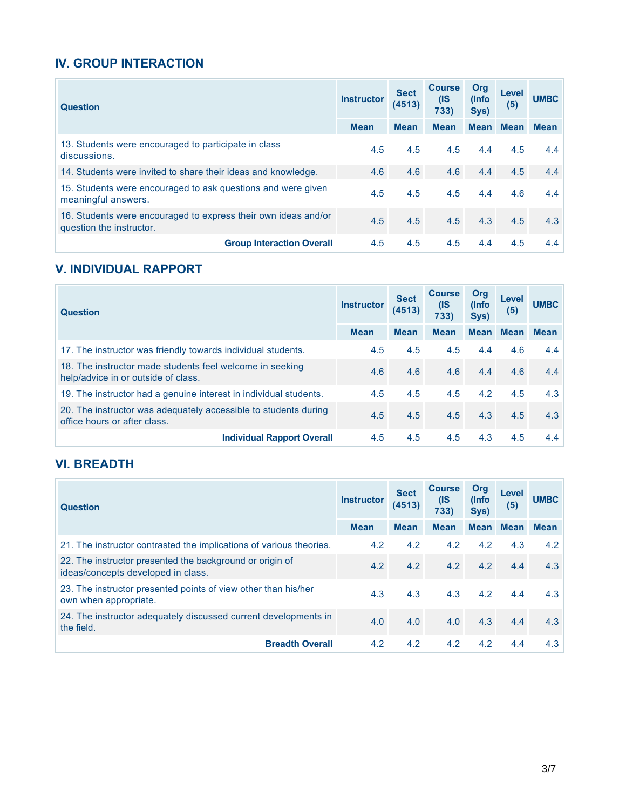### **IV. GROUP INTERACTION**

| <b>Question</b>                                                                            | <b>Instructor</b> | <b>Sect</b><br>(4513) | <b>Course</b><br>(IS<br>733) | Org<br>(Info<br>Sys) | Level<br>(5) | <b>UMBC</b> |
|--------------------------------------------------------------------------------------------|-------------------|-----------------------|------------------------------|----------------------|--------------|-------------|
|                                                                                            | <b>Mean</b>       | <b>Mean</b>           | <b>Mean</b>                  | <b>Mean</b>          | <b>Mean</b>  | <b>Mean</b> |
| 13. Students were encouraged to participate in class<br>discussions.                       | 4.5               | 4.5                   | 4.5                          | 4.4                  | 4.5          | 4.4         |
| 14. Students were invited to share their ideas and knowledge.                              | 4.6               | 4.6                   | 4.6                          | 4.4                  | 4.5          | 4.4         |
| 15. Students were encouraged to ask guestions and were given<br>meaningful answers.        | 4.5               | 4.5                   | 4.5                          | 4.4                  | 4.6          | 4.4         |
| 16. Students were encouraged to express their own ideas and/or<br>question the instructor. | 4.5               | 4.5                   | 4.5                          | 4.3                  | 4.5          | 4.3         |
| <b>Group Interaction Overall</b>                                                           | 4.5               | 4.5                   | 4.5                          | 4.4                  | 4.5          | 4.4         |

### **V. INDIVIDUAL RAPPORT**

| <b>Question</b>                                                                                 | <b>Instructor</b> | <b>Sect</b><br>(4513) | <b>Course</b><br>(IS<br>733) | Org<br>(Info<br>Sys) | Level<br>(5) | <b>UMBC</b> |
|-------------------------------------------------------------------------------------------------|-------------------|-----------------------|------------------------------|----------------------|--------------|-------------|
|                                                                                                 | <b>Mean</b>       | <b>Mean</b>           | <b>Mean</b>                  | <b>Mean</b>          | <b>Mean</b>  | <b>Mean</b> |
| 17. The instructor was friendly towards individual students.                                    | 4.5               | 4.5                   | 4.5                          | 4.4                  | 4.6          | 4.4         |
| 18. The instructor made students feel welcome in seeking<br>help/advice in or outside of class. | 4.6               | 4.6                   | 4.6                          | 4.4                  | 4.6          | 4.4         |
| 19. The instructor had a genuine interest in individual students.                               | 4.5               | 4.5                   | 4.5                          | 4.2                  | 4.5          | 4.3         |
| 20. The instructor was adequately accessible to students during<br>office hours or after class. | 4.5               | 4.5                   | 4.5                          | 4.3                  | 4.5          | 4.3         |
| <b>Individual Rapport Overall</b>                                                               | 4.5               | 4.5                   | 4.5                          | 4.3                  | 4.5          | 4.4         |

## **VI. BREADTH**

| <b>Question</b>                                                                                | <b>Instructor</b> | <b>Sect</b><br>(4513) | <b>Course</b><br>(IS<br>733) | Org<br>(Info<br>Sys) | Level<br>(5) | <b>UMBC</b> |
|------------------------------------------------------------------------------------------------|-------------------|-----------------------|------------------------------|----------------------|--------------|-------------|
|                                                                                                | <b>Mean</b>       | <b>Mean</b>           | <b>Mean</b>                  | <b>Mean</b>          | <b>Mean</b>  | <b>Mean</b> |
| 21. The instructor contrasted the implications of various theories.                            | 4.2               | 4.2                   | 4.2                          | 4.2                  | 4.3          | 4.2         |
| 22. The instructor presented the background or origin of<br>ideas/concepts developed in class. | 4.2               | 4.2                   | 4.2                          | 4.2                  | 4.4          | 4.3         |
| 23. The instructor presented points of view other than his/her<br>own when appropriate.        | 4.3               | 4.3                   | 4.3                          | 4.2                  | 4.4          | 4.3         |
| 24. The instructor adequately discussed current developments in<br>the field.                  | 4.0               | 4.0                   | 4.0                          | 4.3                  | 4.4          | 4.3         |
| <b>Breadth Overall</b>                                                                         | 4.2               | 4.2                   | 4.2                          | 4.2                  | 4.4          | 4.3         |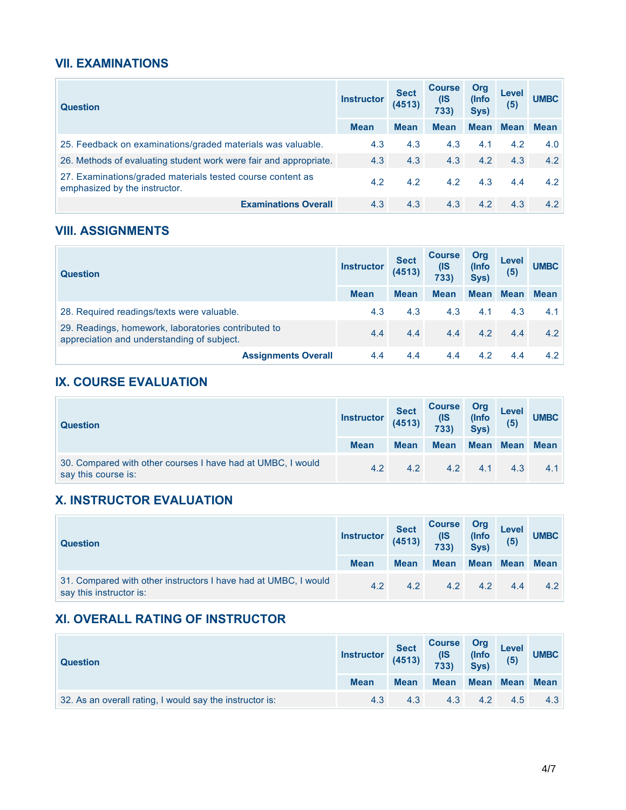#### **VII. EXAMINATIONS**

| <b>Question</b>                                                                             | <b>Instructor</b> | <b>Sect</b><br>(4513) | <b>Course</b><br>(IS<br>733) | Org<br>(Info<br>Sys) | Level<br>(5) | <b>UMBC</b> |
|---------------------------------------------------------------------------------------------|-------------------|-----------------------|------------------------------|----------------------|--------------|-------------|
|                                                                                             | <b>Mean</b>       | <b>Mean</b>           | <b>Mean</b>                  |                      | Mean Mean    | <b>Mean</b> |
| 25. Feedback on examinations/graded materials was valuable.                                 | 4.3               | 4.3                   | 4.3                          | 4.1                  | 4.2          | 4.0         |
| 26. Methods of evaluating student work were fair and appropriate.                           | 4.3               | 4.3                   | 4.3                          | 4.2                  | 4.3          | 4.2         |
| 27. Examinations/graded materials tested course content as<br>emphasized by the instructor. | 4.2               | 4.2                   | 4.2                          | 4.3                  | 4.4          | 4.2         |
| <b>Examinations Overall</b>                                                                 | 4.3               | 4.3                   | 4.3                          | 4.2                  | 4.3          | 4.2         |

#### **VIII. ASSIGNMENTS**

| <b>Question</b>                                                                                   | <b>Instructor</b> | <b>Sect</b><br>(4513) | <b>Course</b><br>(IS<br>733) | Org<br>(Info<br>Sys) | Level<br>(5) | <b>UMBC</b> |
|---------------------------------------------------------------------------------------------------|-------------------|-----------------------|------------------------------|----------------------|--------------|-------------|
|                                                                                                   | <b>Mean</b>       | <b>Mean</b>           | <b>Mean</b>                  | Mean Mean            |              | <b>Mean</b> |
| 28. Required readings/texts were valuable.                                                        | 4.3               | 4.3                   | 4.3                          | 4.1                  | 4.3          | 4.1         |
| 29. Readings, homework, laboratories contributed to<br>appreciation and understanding of subject. | 4.4               | 4.4                   | 4.4                          | 4.2                  | 4.4          | 4.2         |
| <b>Assignments Overall</b>                                                                        | 4.4               | 4.4                   | 4.4                          | 4.2                  | 4.4          | 4.2         |

## **IX. COURSE EVALUATION**

| <b>Question</b>                                                                    | Instructor $(4513)$ | <b>Sect</b> | <b>Course</b><br>$($ IS<br>733) | Org<br>(Info<br>Sys) | Level<br>(5) | <b>UMBC</b> |
|------------------------------------------------------------------------------------|---------------------|-------------|---------------------------------|----------------------|--------------|-------------|
|                                                                                    | <b>Mean</b>         | <b>Mean</b> | <b>Mean</b>                     |                      | Mean Mean    | Mean        |
| 30. Compared with other courses I have had at UMBC, I would<br>say this course is: | 4.2                 | 4.2         | 4.2                             | 4.1                  | 4.3          | 4.1         |

#### **X. INSTRUCTOR EVALUATION**

| <b>Question</b>                                                                            | <b>Instructor</b> | <b>Sect</b><br>(4513) | <b>Course</b><br>$\frac{\textsf{(IS)}}{\textsf{733}}$ | Org<br>(Info<br>Sys) | Level<br>(5) | <b>UMBC</b> |
|--------------------------------------------------------------------------------------------|-------------------|-----------------------|-------------------------------------------------------|----------------------|--------------|-------------|
|                                                                                            | <b>Mean</b>       | <b>Mean</b>           | <b>Mean</b>                                           |                      | Mean Mean    | Mean        |
| 31. Compared with other instructors I have had at UMBC, I would<br>say this instructor is: | 42                | 4.2                   | 4.2                                                   | 4.2                  | 4.4          | 42          |

### **XI. OVERALL RATING OF INSTRUCTOR**

| <b>Question</b>                                          | Sect<br>Instructor (4513) |             | Course Org<br>(IS (Info Level<br>733) Sys) (5) |             |                | <b>UMBC</b> |
|----------------------------------------------------------|---------------------------|-------------|------------------------------------------------|-------------|----------------|-------------|
|                                                          | <b>Mean</b>               | <b>Mean</b> | <b>Mean</b>                                    |             | Mean Mean Mean |             |
| 32. As an overall rating, I would say the instructor is: | 4.3                       | 4.3         |                                                | 4.3 4.2 4.5 |                | 4.3         |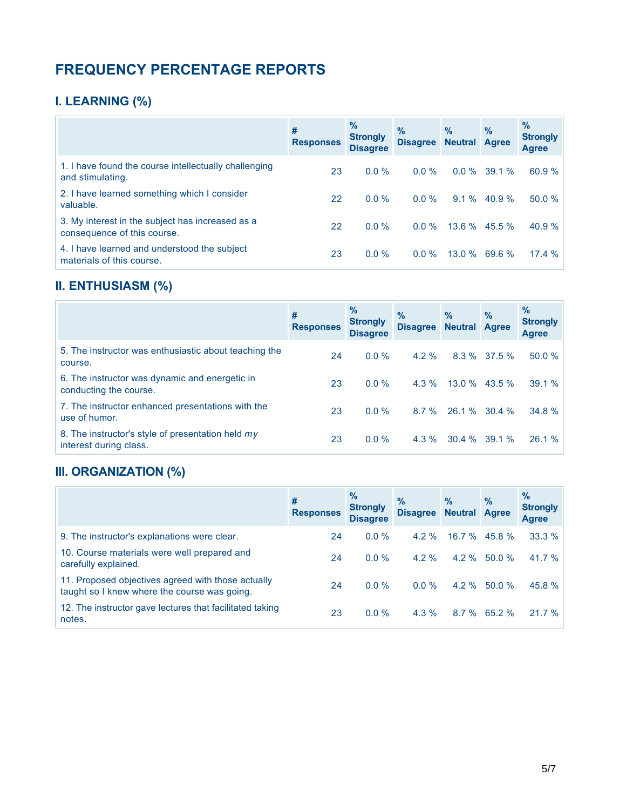# **FREQUENCY PERCENTAGE REPORTS**

# **I. LEARNING (%)**

|                                                                                 | #<br><b>Responses</b> | $\%$<br><b>Strongly</b><br><b>Disagree</b> | $\frac{9}{6}$<br><b>Disagree</b> | $\%$<br><b>Neutral Agree</b> | $\%$            | $\%$<br><b>Strongly</b><br><b>Agree</b> |
|---------------------------------------------------------------------------------|-----------------------|--------------------------------------------|----------------------------------|------------------------------|-----------------|-----------------------------------------|
| 1. I have found the course intellectually challenging<br>and stimulating.       | 23                    | $0.0\%$                                    | $0.0\%$                          | $0.0\%$                      | 39.1%           | 60.9 %                                  |
| 2. I have learned something which I consider<br>valuable.                       | 22                    | $0.0\%$                                    | $0.0\%$                          | $9.1\%$                      | 40.9%           | 50.0 %                                  |
| 3. My interest in the subject has increased as a<br>consequence of this course. | 22                    | $0.0\%$                                    | $0.0\%$                          | $13.6\%$ 45.5 %              |                 | 40.9 %                                  |
| 4. I have learned and understood the subject<br>materials of this course.       | 23                    | $0.0\%$                                    | $0.0 \%$                         |                              | $13.0\%$ 69.6 % | 17.4%                                   |

# **II. ENTHUSIASM (%)**

|                                                                             | #<br><b>Responses</b> | $\%$<br><b>Strongly</b><br><b>Disagree</b> | $\%$<br><b>Disagree</b> | $\frac{9}{6}$<br><b>Neutral Agree</b> | $\%$      | $\%$<br><b>Strongly</b><br>Agree |
|-----------------------------------------------------------------------------|-----------------------|--------------------------------------------|-------------------------|---------------------------------------|-----------|----------------------------------|
| 5. The instructor was enthusiastic about teaching the<br>course.            | 24                    | $0.0 \%$                                   | $4.2\%$                 | $8.3\%$                               | $37.5 \%$ | 50.0%                            |
| 6. The instructor was dynamic and energetic in<br>conducting the course.    | 23                    | $0.0\%$                                    | $4.3\%$                 | $13.0\%$ 43.5 %                       |           | 39.1 %                           |
| 7. The instructor enhanced presentations with the<br>use of humor.          | 23                    | $0.0\%$                                    | $8.7 \%$                | $26.1\%$ 30.4 %                       |           | 34.8 %                           |
| 8. The instructor's style of presentation held my<br>interest during class. | 23                    | $0.0\%$                                    | $4.3\%$                 | 30.4%                                 | 39.1%     | 26.1 %                           |

### **III. ORGANIZATION (%)**

|                                                                                                    | #<br><b>Responses</b> | $\%$<br><b>Strongly</b><br><b>Disagree</b> | $\frac{9}{6}$<br><b>Disagree</b> | $\%$<br><b>Neutral Agree</b> | $\frac{9}{6}$  | $\%$<br><b>Strongly</b><br><b>Agree</b> |
|----------------------------------------------------------------------------------------------------|-----------------------|--------------------------------------------|----------------------------------|------------------------------|----------------|-----------------------------------------|
| 9. The instructor's explanations were clear.                                                       | 24                    | $0.0\%$                                    | $4.2\%$                          | $16.7 \%$                    | 45.8%          | 33.3%                                   |
| 10. Course materials were well prepared and<br>carefully explained.                                | 24                    | $0.0\%$                                    | $4.2\%$                          |                              | $4.2\%$ 50.0 % | 41.7 $%$                                |
| 11. Proposed objectives agreed with those actually<br>taught so I knew where the course was going. | 24                    | $0.0\%$                                    | $0.0 \%$                         |                              | $4.2\%$ 50.0 % | 45.8 %                                  |
| 12. The instructor gave lectures that facilitated taking<br>notes.                                 | 23                    | $0.0\%$                                    | $4.3\%$                          |                              | $8.7\%$ 65.2 % | 21.7%                                   |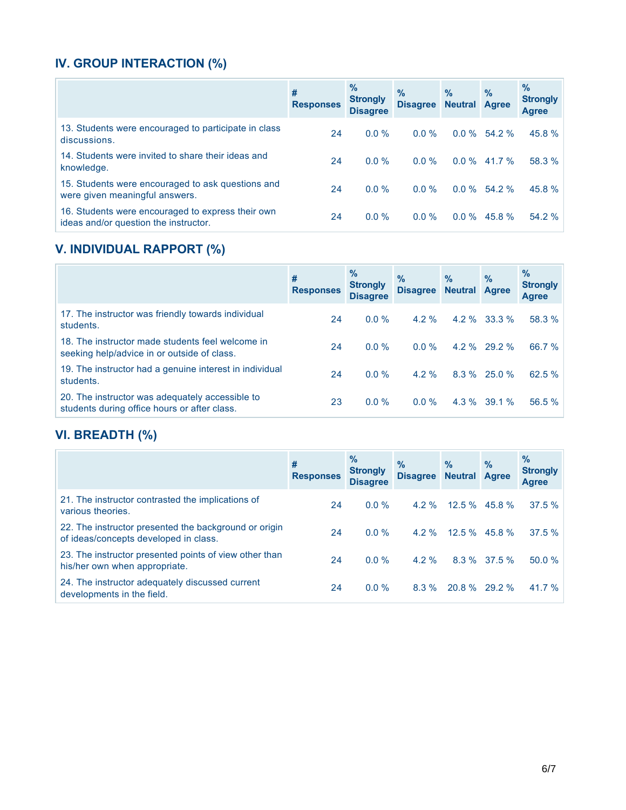# **IV. GROUP INTERACTION (%)**

|                                                                                            | #<br><b>Responses</b> | $\%$<br><b>Strongly</b><br><b>Disagree</b> | $\%$<br><b>Disagree</b> | $\%$<br><b>Neutral Agree</b> | $\frac{9}{6}$  | $\%$<br><b>Strongly</b><br><b>Agree</b> |
|--------------------------------------------------------------------------------------------|-----------------------|--------------------------------------------|-------------------------|------------------------------|----------------|-----------------------------------------|
| 13. Students were encouraged to participate in class<br>discussions.                       | 24                    | $0.0\%$                                    | $0.0\%$                 |                              | $0.0\%$ 54.2 % | 45.8 %                                  |
| 14. Students were invited to share their ideas and<br>knowledge.                           | 24                    | $0.0\%$                                    | $0.0\%$                 | $0.0 \%$                     | 41.7 %         | 58.3 %                                  |
| 15. Students were encouraged to ask questions and<br>were given meaningful answers.        | 24                    | $0.0\%$                                    | $0.0\%$                 |                              | $0.0\%$ 54.2 % | 45.8 %                                  |
| 16. Students were encouraged to express their own<br>ideas and/or question the instructor. | 24                    | $0.0\%$                                    | $0.0\%$                 |                              | $0.0\%$ 45.8 % | 54.2 %                                  |

# **V. INDIVIDUAL RAPPORT (%)**

|                                                                                                 | #<br><b>Responses</b> | $\%$<br><b>Strongly</b><br><b>Disagree</b> | $\frac{9}{6}$<br><b>Disagree</b> | $\frac{9}{6}$<br><b>Neutral</b> | $\%$<br><b>Agree</b> | $\%$<br><b>Strongly</b><br><b>Agree</b> |
|-------------------------------------------------------------------------------------------------|-----------------------|--------------------------------------------|----------------------------------|---------------------------------|----------------------|-----------------------------------------|
| 17. The instructor was friendly towards individual<br>students.                                 | 24                    | $0.0\%$                                    | $4.2 \%$                         | $4.2 \%$                        | $33.3\%$             | 58.3 %                                  |
| 18. The instructor made students feel welcome in<br>seeking help/advice in or outside of class. | 24                    | $0.0\%$                                    | $0.0 \%$                         |                                 | 4.2 % 29.2 %         | 66.7 %                                  |
| 19. The instructor had a genuine interest in individual<br>students.                            | 24                    | $0.0\%$                                    | $4.2\%$                          |                                 | $8.3\%$ 25.0 %       | 62.5 %                                  |
| 20. The instructor was adequately accessible to<br>students during office hours or after class. | 23                    | $0.0\%$                                    | $0.0\%$                          |                                 | $4.3\%$ 39.1 %       | 56.5 %                                  |

# **VI. BREADTH (%)**

|                                                                                                | #<br><b>Responses</b> | $\%$<br><b>Strongly</b><br><b>Disagree</b> | $\frac{9}{6}$<br><b>Disagree</b> | $\%$<br><b>Neutral Agree</b> | $\%$         | $\%$<br><b>Strongly</b><br><b>Agree</b> |
|------------------------------------------------------------------------------------------------|-----------------------|--------------------------------------------|----------------------------------|------------------------------|--------------|-----------------------------------------|
| 21. The instructor contrasted the implications of<br>various theories.                         | 24                    | $0.0\%$                                    | $4.2\%$                          | $12.5\%$ 45.8%               |              | 37.5%                                   |
| 22. The instructor presented the background or origin<br>of ideas/concepts developed in class. | 24                    | $0.0\%$                                    | $4.2\%$                          | $12.5\%$ 45.8 %              |              | 37.5%                                   |
| 23. The instructor presented points of view other than<br>his/her own when appropriate.        | 24                    | $0.0\%$                                    | $4.2\%$                          |                              | 8.3 % 37.5 % | 50.0%                                   |
| 24. The instructor adequately discussed current<br>developments in the field.                  | 24                    | $0.0\%$                                    | 8.3%                             | $20.8\%$ 29.2 %              |              | 41.7 %                                  |